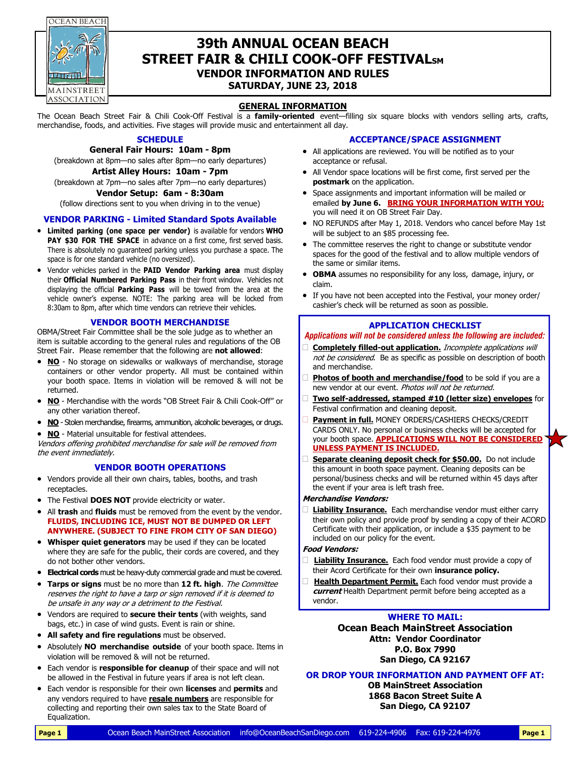OCEAN BEACH



# **39th ANNUAL OCEAN BEACH STREET FAIR & CHILI COOK-OFF FESTIVALSM VENDOR INFORMATION AND RULES**

**SATURDAY, JUNE 23, 2018**

# **GENERAL INFORMATION**

The Ocean Beach Street Fair & Chili Cook-Off Festival is a **family-oriented** event—filling six square blocks with vendors selling arts, crafts, merchandise, foods, and activities. Five stages will provide music and entertainment all day.

# **SCHEDULE**

**General Fair Hours: 10am - 8pm**  (breakdown at 8pm—no sales after 8pm—no early departures)

#### **Artist Alley Hours: 10am - 7pm**

(breakdown at 7pm—no sales after 7pm—no early departures) **Vendor Setup: 6am - 8:30am** 

# (follow directions sent to you when driving in to the venue)

# **VENDOR PARKING - Limited Standard Spots Available**

- **Limited parking (one space per vendor)** is available for vendors **WHO PAY \$30 FOR THE SPACE** in advance on a first come, first served basis. There is absolutely no guaranteed parking unless you purchase a space. The space is for one standard vehicle (no oversized).
- Vendor vehicles parked in the **PAID Vendor Parking area** must display their **Official Numbered Parking Pass** in their front window. Vehicles not displaying the official **Parking Pass** will be towed from the area at the vehicle owner's expense. NOTE: The parking area will be locked from 8:30am to 8pm, after which time vendors can retrieve their vehicles.

#### **VENDOR BOOTH MERCHANDISE**

OBMA/Street Fair Committee shall be the sole judge as to whether an item is suitable according to the general rules and regulations of the OB Street Fair. Please remember that the following are **not allowed**:

- **NO** No storage on sidewalks or walkways of merchandise, storage containers or other vendor property. All must be contained within your booth space. Items in violation will be removed & will not be returned.
- **NO** Merchandise with the words "OB Street Fair & Chili Cook-Off" or any other variation thereof.
- **NO** Stolen merchandise, firearms, ammunition, alcoholic beverages, or drugs.
- **NO** Material unsuitable for festival attendees.

Vendors offering prohibited merchandise for sale will be removed from the event immediately.

#### **VENDOR BOOTH OPERATIONS**

- Vendors provide all their own chairs, tables, booths, and trash receptacles.
- The Festival **DOES NOT** provide electricity or water.
- All **trash** and **fluids** must be removed from the event by the vendor. **FLUIDS, INCLUDING ICE, MUST NOT BE DUMPED OR LEFT ANYWHERE. (SUBJECT TO FINE FROM CITY OF SAN DIEGO)**
- **Whisper quiet generators** may be used if they can be located where they are safe for the public, their cords are covered, and they do not bother other vendors.
- **Electrical cords** must be heavy-duty commercial grade and must be covered.
- **Tarps or signs** must be no more than **12 ft. high**. The Committee reserves the right to have a tarp or sign removed if it is deemed to be unsafe in any way or a detriment to the Festival.
- Vendors are required to **secure their tents** (with weights, sand bags, etc.) in case of wind gusts. Event is rain or shine.
- **All safety and fire regulations** must be observed.
- Absolutely **NO merchandise outside** of your booth space. Items in violation will be removed & will not be returned.
- Each vendor is **responsible for cleanup** of their space and will not be allowed in the Festival in future years if area is not left clean.
- Each vendor is responsible for their own **licenses** and **permits** and any vendors required to have **resale numbers** are responsible for collecting and reporting their own sales tax to the State Board of Equalization.

#### **ACCEPTANCE/SPACE ASSIGNMENT**

- All applications are reviewed. You will be notified as to your acceptance or refusal.
- All Vendor space locations will be first come, first served per the **postmark** on the application.
- Space assignments and important information will be mailed or emailed **by June 6. BRING YOUR INFORMATION WITH YOU;** you will need it on OB Street Fair Day.
- NO REFUNDS after May 1, 2018. Vendors who cancel before May 1st will be subject to an \$85 processing fee.
- The committee reserves the right to change or substitute vendor spaces for the good of the festival and to allow multiple vendors of the same or similar items.
- **OBMA** assumes no responsibility for any loss, damage, injury, or claim.
- If you have not been accepted into the Festival, your money order/ cashier's check will be returned as soon as possible.

#### **APPLICATION CHECKLIST**

#### *Applications will not be considered unless the following are included:*

- **Completely filled-out application.** Incomplete applications will not be considered.Be as specific as possible on description of booth and merchandise.
- **Photos of booth and merchandise/food** to be sold if you are a new vendor at our event. Photos will not be returned.
- **Two self-addressed, stamped #10 (letter size) envelopes** for Festival confirmation and cleaning deposit.
- **Payment in full.** MONEY ORDERS/CASHIERS CHECKS/CREDIT CARDS ONLY. No personal or business checks will be accepted for your booth space. **APPLICATIONS WILL NOT BE CONSIDERED UNLESS PAYMENT IS INCLUDED.**
- **Separate cleaning deposit check for \$50.00.** Do not include this amount in booth space payment. Cleaning deposits can be personal/business checks and will be returned within 45 days after the event if your area is left trash free.

#### **Merchandise Vendors:**

 **Liability Insurance.** Each merchandise vendor must either carry their own policy and provide proof by sending a copy of their ACORD Certificate with their application, or include a \$35 payment to be included on our policy for the event.

#### **Food Vendors:**

- **Liability Insurance.** Each food vendor must provide a copy of their Acord Certificate for their own **insurance policy.**
- **Health Department Permit.** Each food vendor must provide a **current** Health Department permit before being accepted as a vendor.

### **WHERE TO MAIL:**

**Ocean Beach MainStreet Association Attn: Vendor Coordinator P.O. Box 7990 San Diego, CA 92167**

**OR DROP YOUR INFORMATION AND PAYMENT OFF AT:**

**OB MainStreet Association 1868 Bacon Street Suite A San Diego, CA 92107**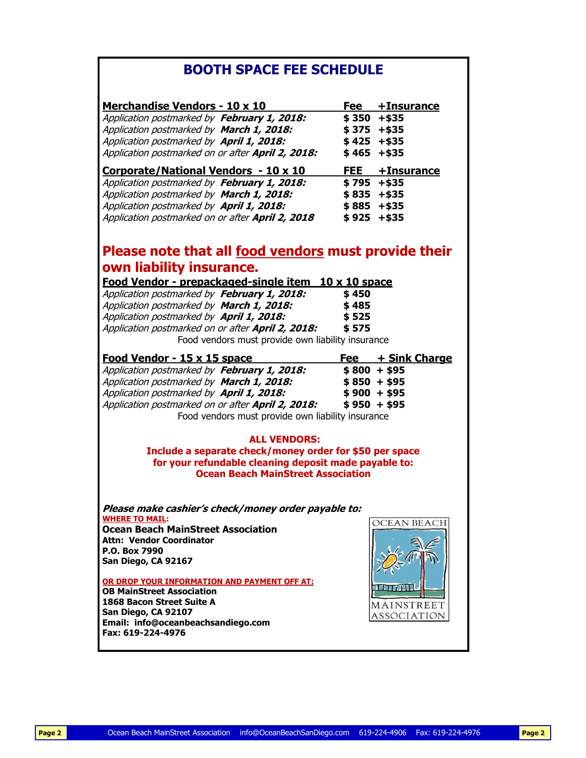# **BOOTH SPACE FEE SCHEDULE**

| <b>Merchandise Vendors - 10 x 10</b>                    | Fee           | +Insurance         |
|---------------------------------------------------------|---------------|--------------------|
| Application postmarked by February 1, 2018:             | \$350         | $+ $35$            |
| Application postmarked by March 1, 2018:                | \$375         | $+ $35$            |
| Application postmarked by April 1, 2018:                | \$ 425        | $+ $35$            |
| Application postmarked on or after April 2, 2018:       | \$465         | $+ $35$            |
| Corporate/National Vendors - 10 x 10                    | <b>FEE</b>    | +Insurance         |
| Application postmarked by February 1, 2018:             | \$795         | $+ $35$            |
| Application postmarked by March 1, 2018:                | \$835         | $+ $35$            |
| Application postmarked by April 1, 2018:                | \$885         | $+ $35$            |
| Application postmarked on or after April 2, 2018        | \$925         | $+ $35$            |
| Please note that all food vendors must provide their    |               |                    |
| own liability insurance.                                |               |                    |
| Food Vendor - prepackaged-single item                   | 10 x 10 space |                    |
| Application postmarked by February 1, 2018:             | \$450         |                    |
| Application postmarked by March 1, 2018:                | \$485         |                    |
| Application postmarked by April 1, 2018:                | \$525         |                    |
| Application postmarked on or after April 2, 2018:       | \$575         |                    |
| Food vendors must provide own liability insurance       |               |                    |
| <u>Food Vendor - 15 x 15 space</u>                      | Fee           | + Sink Charge      |
| Application postmarked by February 1, 2018:             | $$800 + $95$  |                    |
|                                                         |               |                    |
| Application postmarked by March 1, 2018:                | $$850 + $95$  |                    |
| Application postmarked by April 1, 2018:                | $$900 + $95$  |                    |
| Application postmarked on or after April 2, 2018:       | $$950 + $95$  |                    |
| Food vendors must provide own liability insurance       |               |                    |
|                                                         |               |                    |
| <b>ALL VENDORS:</b>                                     |               |                    |
| Include a separate check/money order for \$50 per space |               |                    |
| for your refundable cleaning deposit made payable to:   |               |                    |
| <b>Ocean Beach MainStreet Association</b>               |               |                    |
|                                                         |               |                    |
| Please make cashier's check/money order payable to:     |               |                    |
| <b>WHERE TO MAIL:</b>                                   |               | <b>OCEAN BEACH</b> |
| <b>Ocean Beach MainStreet Association</b>               |               |                    |
| <b>Attn: Vendor Coordinator</b>                         |               |                    |
| P.O. Box 7990                                           |               |                    |
| San Diego, CA 92167                                     |               |                    |
| OR DROP YOUR INFORMATION AND PAYMENT OFF AT:            |               |                    |
| <b>OB MainStreet Association</b>                        |               |                    |
| 1868 Bacon Street Suite A                               |               | MAINSTREET         |
| San Diego, CA 92107                                     |               | ASSOCIATION        |
| Email: info@oceanbeachsandiego.com                      |               |                    |
| Fax: 619-224-4976                                       |               |                    |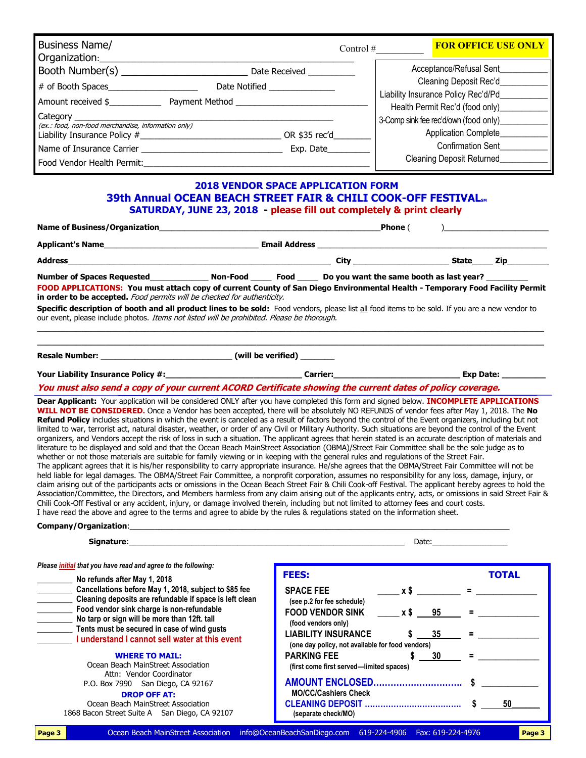| <b>Business Name/</b><br>Organization:                          |                |               | Control $#$ | <b>FOR OFFICE USE ONLY</b>                                    |
|-----------------------------------------------------------------|----------------|---------------|-------------|---------------------------------------------------------------|
| Booth Number(s)                                                 |                | Date Received |             | Acceptance/Refusal Sent                                       |
| # of Booth Spaces                                               | Date Notified  |               |             | Cleaning Deposit Rec'd<br>Liability Insurance Policy Rec'd/Pd |
| Amount received \$                                              | Payment Method |               |             | Health Permit Rec'd (food only)                               |
| Category<br>(ex.: food, non-food merchandise, information only) |                |               |             | 3-Comp sink fee rec'd/own (food only)                         |
| Liability Insurance Policy #                                    |                | OR \$35 rec'd |             | Application Complete_                                         |
| Name of Insurance Carrier                                       |                | Exp. Date     |             | <b>Confirmation Sent</b>                                      |
| Food Vendor Health Permit:                                      |                |               |             | <b>Cleaning Deposit Returned</b>                              |

# **2018 VENDOR SPACE APPLICATION FORM 39th Annual OCEAN BEACH STREET FAIR & CHILI COOK-OFF FESTIVALSM SATURDAY, JUNE 23, 2018 - please fill out completely & print clearly**

| Name of Business/Organization and the state of the state of Business and the state of Business                                                                                                                                                                                                                                                                                                                                                           |  | Phone ( |           |
|----------------------------------------------------------------------------------------------------------------------------------------------------------------------------------------------------------------------------------------------------------------------------------------------------------------------------------------------------------------------------------------------------------------------------------------------------------|--|---------|-----------|
|                                                                                                                                                                                                                                                                                                                                                                                                                                                          |  |         |           |
|                                                                                                                                                                                                                                                                                                                                                                                                                                                          |  |         |           |
| FOOD APPLICATIONS: You must attach copy of current County of San Diego Environmental Health - Temporary Food Facility Permit<br>in order to be accepted. Food permits will be checked for authenticity.<br>Specific description of booth and all product lines to be sold: Food vendors, please list all food items to be sold. If you are a new vendor to<br>our event, please include photos. Items not listed will be prohibited. Please be thorough. |  |         |           |
|                                                                                                                                                                                                                                                                                                                                                                                                                                                          |  |         | Exp Date: |

**You must also send a copy of your current ACORD Certificate showing the current dates of policy coverage.** 

**Dear Applicant:** Your application will be considered ONLY after you have completed this form and signed below. **INCOMPLETE APPLICATIONS WILL NOT BE CONSIDERED.** Once a Vendor has been accepted, there will be absolutely NO REFUNDS of vendor fees after May 1, 2018. The **No**  Refund Policy includes situations in which the event is canceled as a result of factors beyond the control of the Event organizers, including but not limited to war, terrorist act, natural disaster, weather, or order of any Civil or Military Authority. Such situations are beyond the control of the Event organizers, and Vendors accept the risk of loss in such a situation. The applicant agrees that herein stated is an accurate description of materials and literature to be displayed and sold and that the Ocean Beach MainStreet Association (OBMA)/Street Fair Committee shall be the sole judge as to whether or not those materials are suitable for family viewing or in keeping with the general rules and regulations of the Street Fair. The applicant agrees that it is his/her responsibility to carry appropriate insurance. He/she agrees that the OBMA/Street Fair Committee will not be held liable for legal damages. The OBMA/Street Fair Committee, a nonprofit corporation, assumes no responsibility for any loss, damage, injury, or claim arising out of the participants acts or omissions in the Ocean Beach Street Fair & Chili Cook-off Festival. The applicant hereby agrees to hold the Association/Committee, the Directors, and Members harmless from any claim arising out of the applicants entry, acts, or omissions in said Street Fair & Chili Cook-Off Festival or any accident, injury, or damage involved therein, including but not limited to attorney fees and court costs. I have read the above and agree to the terms and agree to abide by the rules & regulations stated on the information sheet.

#### Company/Organization:

| Signature:                                                           |                            | Date: |   |              |
|----------------------------------------------------------------------|----------------------------|-------|---|--------------|
| Please <i>initial</i> that you have read and agree to the following: |                            |       |   |              |
| No refunds after May 1, 2018                                         | <b>FEES:</b>               |       |   | <b>TOTAL</b> |
| Cancellations before May 1, 2018, subject to \$85 fee                | <b>SPACE FEE</b>           |       | = |              |
| Cleaning deposits are refundable if space is left clean              | (see n 2 for fee schedule) |       |   |              |

| Cleaning deposits are refundable if space is left clean<br>Food vendor sink charge is non-refundable<br>No tarp or sign will be more than 12ft. tall | (see p.2 for fee schedule)<br><b>FOOD VENDOR SINK</b><br>(food vendors only)   | x \$95 |           |    |
|------------------------------------------------------------------------------------------------------------------------------------------------------|--------------------------------------------------------------------------------|--------|-----------|----|
| Tents must be secured in case of wind gusts<br>I understand I cannot sell water at this event                                                        | <b>LIABILITY INSURANCE</b><br>(one day policy, not available for food vendors) |        | -35       |    |
| <b>WHERE TO MAIL:</b>                                                                                                                                | <b>PARKING FEE</b>                                                             |        | <b>30</b> |    |
| Ocean Beach MainStreet Association<br>Attn: Vendor Coordinator<br>P.O. Box 7990 San Diego, CA 92167                                                  | (first come first served—limited spaces)<br><b>AMOUNT ENCLOSED</b>             |        |           |    |
| <b>DROP OFF AT:</b><br>Ocean Beach MainStreet Association<br>1868 Bacon Street Suite A San Diego, CA 92107                                           | <b>MO/CC/Cashiers Check</b><br><b>CLEANING DEPOSIT </b><br>(separate check/MO) |        |           | 50 |